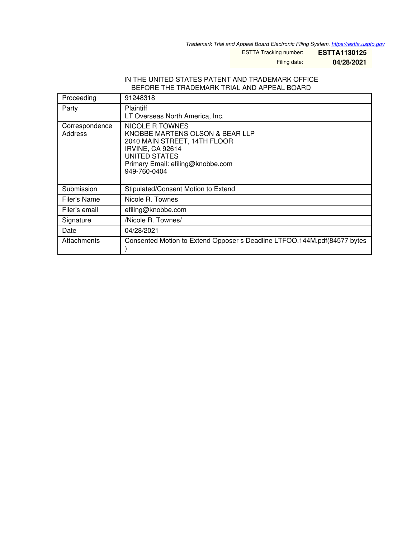*Trademark Trial and Appeal Board Electronic Filing System. <https://estta.uspto.gov>*

ESTTA Tracking number: **ESTTA1130125**

Filing date: **04/28/2021**

## IN THE UNITED STATES PATENT AND TRADEMARK OFFICE BEFORE THE TRADEMARK TRIAL AND APPEAL BOARD

| Proceeding                | 91248318                                                                                                                                                                     |
|---------------------------|------------------------------------------------------------------------------------------------------------------------------------------------------------------------------|
| Party                     | <b>Plaintiff</b><br>LT Overseas North America, Inc.                                                                                                                          |
| Correspondence<br>Address | NICOLE R TOWNES<br>KNOBBE MARTENS OLSON & BEAR LLP<br>2040 MAIN STREET, 14TH FLOOR<br>IRVINE, CA 92614<br>UNITED STATES<br>Primary Email: efiling@knobbe.com<br>949-760-0404 |
| Submission                | Stipulated/Consent Motion to Extend                                                                                                                                          |
| Filer's Name              | Nicole R. Townes                                                                                                                                                             |
| Filer's email             | efiling@knobbe.com                                                                                                                                                           |
| Signature                 | /Nicole R. Townes/                                                                                                                                                           |
| Date                      | 04/28/2021                                                                                                                                                                   |
| Attachments               | Consented Motion to Extend Opposer s Deadline LTFOO.144M.pdf(84577 bytes                                                                                                     |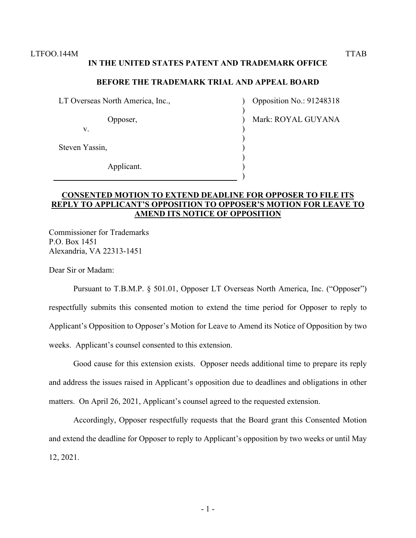## **IN THE UNITED STATES PATENT AND TRADEMARK OFFICE**

## **BEFORE THE TRADEMARK TRIAL AND APPEAL BOARD**

) ) ) ) ) ) ) ) )

LT Overseas North America, Inc.,

Opposer,

v.

Steven Yassin,

Applicant.

Opposition No.: 91248318

Mark: ROYAL GUYANA

## **CONSENTED MOTION TO EXTEND DEADLINE FOR OPPOSER TO FILE ITS REPLY TO APPLICANT'S OPPOSITION TO OPPOSER'S MOTION FOR LEAVE TO AMEND ITS NOTICE OF OPPOSITION**

Commissioner for Trademarks P.O. Box 1451 Alexandria, VA 22313-1451

Dear Sir or Madam:

Pursuant to T.B.M.P. § 501.01, Opposer LT Overseas North America, Inc. ("Opposer") respectfully submits this consented motion to extend the time period for Opposer to reply to Applicant's Opposition to Opposer's Motion for Leave to Amend its Notice of Opposition by two weeks. Applicant's counsel consented to this extension.

Good cause for this extension exists. Opposer needs additional time to prepare its reply and address the issues raised in Applicant's opposition due to deadlines and obligations in other matters. On April 26, 2021, Applicant's counsel agreed to the requested extension.

Accordingly, Opposer respectfully requests that the Board grant this Consented Motion and extend the deadline for Opposer to reply to Applicant's opposition by two weeks or until May 12, 2021.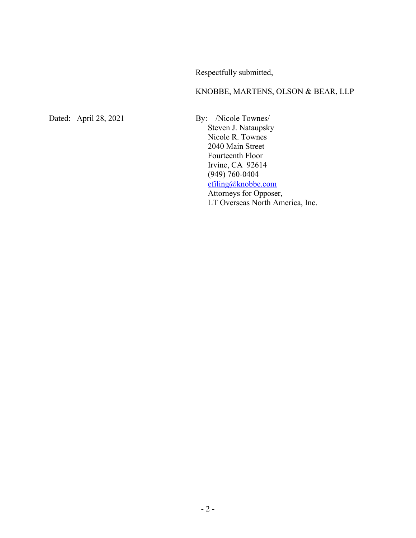Respectfully submitted,

KNOBBE, MARTENS, OLSON & BEAR, LLP

Dated: April 28, 2021 By: /Nicole Townes/

Steven J. Nataupsky Nicole R. Townes 2040 Main Street Fourteenth Floor Irvine, CA 92614 (949) 760-0404 efiling@knobbe.com Attorneys for Opposer, LT Overseas North America, Inc.